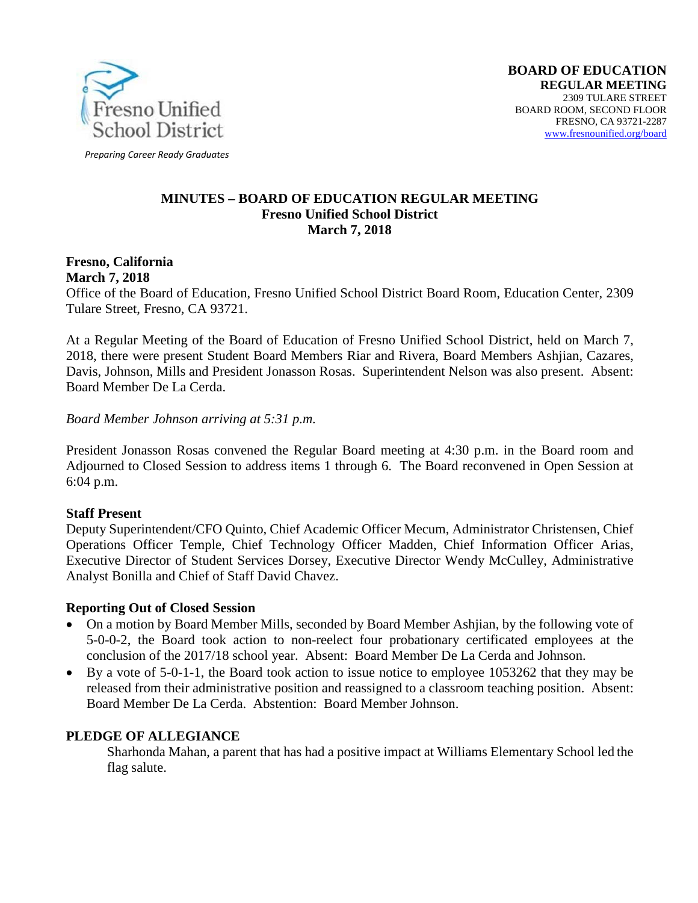

*Preparing Career Ready Graduates*

#### **MINUTES – BOARD OF EDUCATION REGULAR MEETING Fresno Unified School District March 7, 2018**

#### **Fresno, California March 7, 2018**

Office of the Board of Education, Fresno Unified School District Board Room, Education Center, 2309 Tulare Street, Fresno, CA 93721.

At a Regular Meeting of the Board of Education of Fresno Unified School District, held on March 7, 2018, there were present Student Board Members Riar and Rivera, Board Members Ashjian, Cazares, Davis, Johnson, Mills and President Jonasson Rosas. Superintendent Nelson was also present. Absent: Board Member De La Cerda.

*Board Member Johnson arriving at 5:31 p.m.*

President Jonasson Rosas convened the Regular Board meeting at 4:30 p.m. in the Board room and Adjourned to Closed Session to address items 1 through 6. The Board reconvened in Open Session at 6:04 p.m.

# **Staff Present**

Deputy Superintendent/CFO Quinto, Chief Academic Officer Mecum, Administrator Christensen, Chief Operations Officer Temple, Chief Technology Officer Madden, Chief Information Officer Arias, Executive Director of Student Services Dorsey, Executive Director Wendy McCulley, Administrative Analyst Bonilla and Chief of Staff David Chavez.

# **Reporting Out of Closed Session**

- On a motion by Board Member Mills, seconded by Board Member Ashijan, by the following vote of 5-0-0-2, the Board took action to non-reelect four probationary certificated employees at the conclusion of the 2017/18 school year. Absent: Board Member De La Cerda and Johnson.
- By a vote of 5-0-1-1, the Board took action to issue notice to employee 1053262 that they may be released from their administrative position and reassigned to a classroom teaching position. Absent: Board Member De La Cerda. Abstention: Board Member Johnson.

# **PLEDGE OF ALLEGIANCE**

Sharhonda Mahan, a parent that has had a positive impact at Williams Elementary School led the flag salute.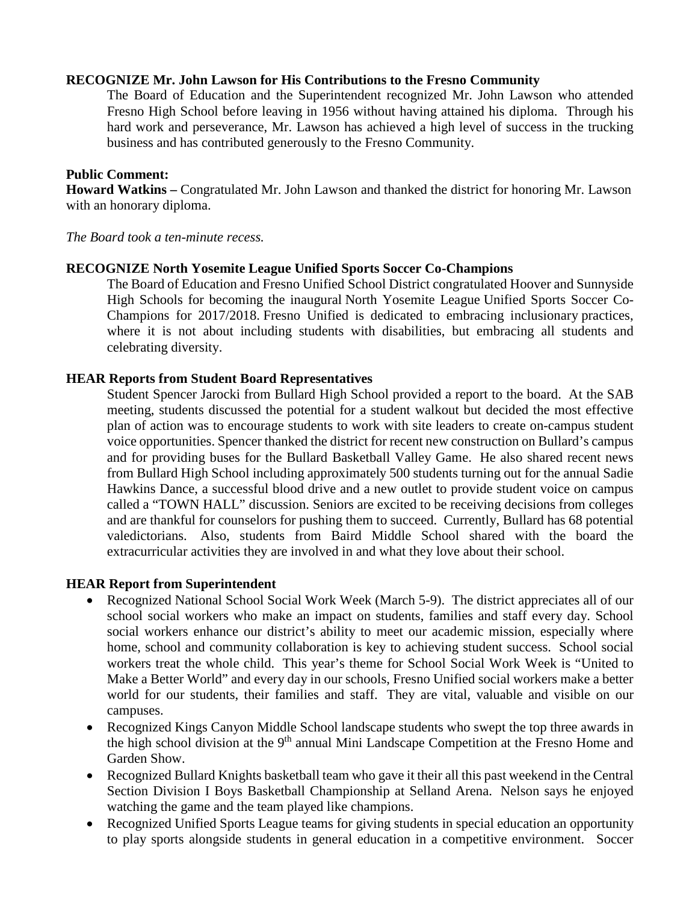#### **RECOGNIZE Mr. John Lawson for His Contributions to the Fresno Community**

The Board of Education and the Superintendent recognized Mr. John Lawson who attended Fresno High School before leaving in 1956 without having attained his diploma. Through his hard work and perseverance, Mr. Lawson has achieved a high level of success in the trucking business and has contributed generously to the Fresno Community.

#### **Public Comment:**

**Howard Watkins –** Congratulated Mr. John Lawson and thanked the district for honoring Mr. Lawson with an honorary diploma.

*The Board took a ten-minute recess.*

#### **RECOGNIZE North Yosemite League Unified Sports Soccer Co-Champions**

The Board of Education and Fresno Unified School District congratulated Hoover and Sunnyside High Schools for becoming the inaugural North Yosemite League Unified Sports Soccer Co-Champions for 2017/2018. Fresno Unified is dedicated to embracing inclusionary practices, where it is not about including students with disabilities, but embracing all students and celebrating diversity.

#### **HEAR Reports from Student Board Representatives**

Student Spencer Jarocki from Bullard High School provided a report to the board. At the SAB meeting, students discussed the potential for a student walkout but decided the most effective plan of action was to encourage students to work with site leaders to create on-campus student voice opportunities. Spencer thanked the district for recent new construction on Bullard's campus and for providing buses for the Bullard Basketball Valley Game. He also shared recent news from Bullard High School including approximately 500 students turning out for the annual Sadie Hawkins Dance, a successful blood drive and a new outlet to provide student voice on campus called a "TOWN HALL" discussion. Seniors are excited to be receiving decisions from colleges and are thankful for counselors for pushing them to succeed. Currently, Bullard has 68 potential valedictorians. Also, students from Baird Middle School shared with the board the extracurricular activities they are involved in and what they love about their school.

#### **HEAR Report from Superintendent**

- Recognized National School Social Work Week (March 5-9). The district appreciates all of our school social workers who make an impact on students, families and staff every day. School social workers enhance our district's ability to meet our academic mission, especially where home, school and community collaboration is key to achieving student success. School social workers treat the whole child. This year's theme for School Social Work Week is "United to Make a Better World" and every day in our schools, Fresno Unified social workers make a better world for our students, their families and staff. They are vital, valuable and visible on our campuses.
- Recognized Kings Canyon Middle School landscape students who swept the top three awards in the high school division at the 9<sup>th</sup> annual Mini Landscape Competition at the Fresno Home and Garden Show.
- Recognized Bullard Knights basketball team who gave it their all this past weekend in the Central Section Division I Boys Basketball Championship at Selland Arena. Nelson says he enjoyed watching the game and the team played like champions.
- Recognized Unified Sports League teams for giving students in special education an opportunity to play sports alongside students in general education in a competitive environment. Soccer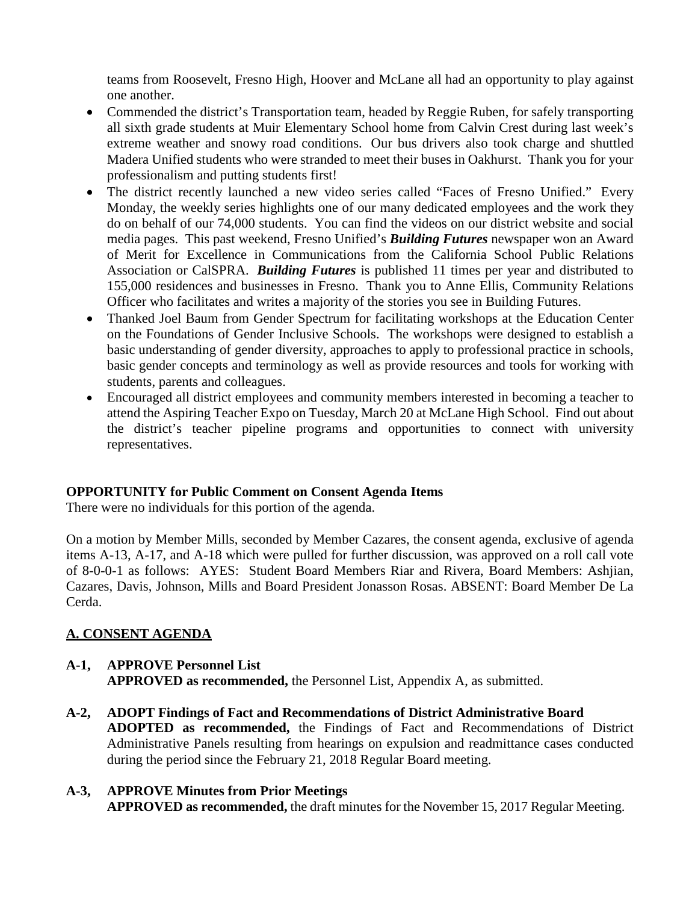teams from Roosevelt, Fresno High, Hoover and McLane all had an opportunity to play against one another.

- Commended the district's Transportation team, headed by Reggie Ruben, for safely transporting all sixth grade students at Muir Elementary School home from Calvin Crest during last week's extreme weather and snowy road conditions. Our bus drivers also took charge and shuttled Madera Unified students who were stranded to meet their buses in Oakhurst. Thank you for your professionalism and putting students first!
- The district recently launched a new video series called "Faces of Fresno Unified." Every Monday, the weekly series highlights one of our many dedicated employees and the work they do on behalf of our 74,000 students. You can find the videos on our district website and social media pages. This past weekend, Fresno Unified's *Building Futures* newspaper won an Award of Merit for Excellence in Communications from the California School Public Relations Association or CalSPRA. *Building Futures* is published 11 times per year and distributed to 155,000 residences and businesses in Fresno. Thank you to Anne Ellis, Community Relations Officer who facilitates and writes a majority of the stories you see in Building Futures.
- Thanked Joel Baum from Gender Spectrum for facilitating workshops at the Education Center on the Foundations of Gender Inclusive Schools. The workshops were designed to establish a basic understanding of gender diversity, approaches to apply to professional practice in schools, basic gender concepts and terminology as well as provide resources and tools for working with students, parents and colleagues.
- Encouraged all district employees and community members interested in becoming a teacher to attend the Aspiring Teacher Expo on Tuesday, March 20 at McLane High School. Find out about the district's teacher pipeline programs and opportunities to connect with university representatives.

# **OPPORTUNITY for Public Comment on Consent Agenda Items**

There were no individuals for this portion of the agenda.

On a motion by Member Mills, seconded by Member Cazares, the consent agenda, exclusive of agenda items A-13, A-17, and A-18 which were pulled for further discussion, was approved on a roll call vote of 8-0-0-1 as follows: AYES: Student Board Members Riar and Rivera, Board Members: Ashjian, Cazares, Davis, Johnson, Mills and Board President Jonasson Rosas. ABSENT: Board Member De La Cerda.

# **A. CONSENT AGENDA**

# **A-1, APPROVE Personnel List APPROVED as recommended,** the Personnel List, Appendix A, as submitted.

**A-2, ADOPT Findings of Fact and Recommendations of District Administrative Board ADOPTED as recommended,** the Findings of Fact and Recommendations of District Administrative Panels resulting from hearings on expulsion and readmittance cases conducted during the period since the February 21, 2018 Regular Board meeting.

### **A-3, APPROVE Minutes from Prior Meetings APPROVED as recommended,** the draft minutes for the November 15, 2017 Regular Meeting.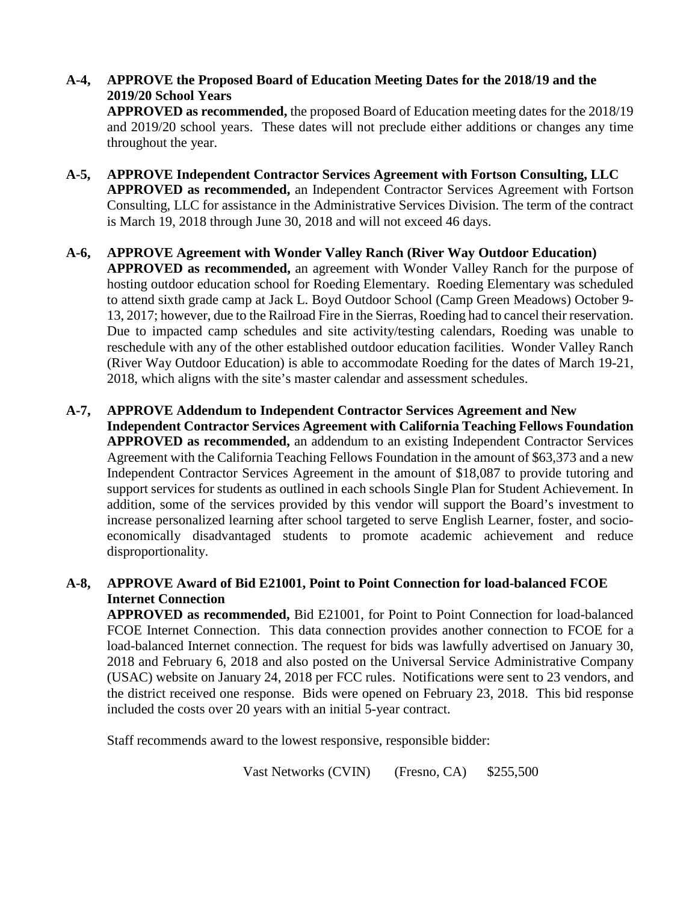# **A-4, APPROVE the Proposed Board of Education Meeting Dates for the 2018/19 and the 2019/20 School Years**

**APPROVED as recommended,** the proposed Board of Education meeting dates for the 2018/19 and 2019/20 school years. These dates will not preclude either additions or changes any time throughout the year.

- **A-5, APPROVE Independent Contractor Services Agreement with Fortson Consulting, LLC APPROVED as recommended,** an Independent Contractor Services Agreement with Fortson Consulting, LLC for assistance in the Administrative Services Division. The term of the contract is March 19, 2018 through June 30, 2018 and will not exceed 46 days.
- **A-6, APPROVE Agreement with Wonder Valley Ranch (River Way Outdoor Education) APPROVED as recommended,** an agreement with Wonder Valley Ranch for the purpose of hosting outdoor education school for Roeding Elementary. Roeding Elementary was scheduled to attend sixth grade camp at Jack L. Boyd Outdoor School (Camp Green Meadows) October 9- 13, 2017; however, due to the Railroad Fire in the Sierras, Roeding had to cancel their reservation. Due to impacted camp schedules and site activity/testing calendars, Roeding was unable to reschedule with any of the other established outdoor education facilities. Wonder Valley Ranch (River Way Outdoor Education) is able to accommodate Roeding for the dates of March 19-21, 2018, which aligns with the site's master calendar and assessment schedules.
- **A-7, APPROVE Addendum to Independent Contractor Services Agreement and New Independent Contractor Services Agreement with California Teaching Fellows Foundation APPROVED as recommended,** an addendum to an existing Independent Contractor Services Agreement with the California Teaching Fellows Foundation in the amount of \$63,373 and a new Independent Contractor Services Agreement in the amount of \$18,087 to provide tutoring and support services for students as outlined in each schools Single Plan for Student Achievement. In addition, some of the services provided by this vendor will support the Board's investment to increase personalized learning after school targeted to serve English Learner, foster, and socioeconomically disadvantaged students to promote academic achievement and reduce disproportionality.

# **A-8, APPROVE Award of Bid E21001, Point to Point Connection for load-balanced FCOE Internet Connection**

**APPROVED as recommended,** Bid E21001, for Point to Point Connection for load-balanced FCOE Internet Connection. This data connection provides another connection to FCOE for a load-balanced Internet connection. The request for bids was lawfully advertised on January 30, 2018 and February 6, 2018 and also posted on the Universal Service Administrative Company (USAC) website on January 24, 2018 per FCC rules. Notifications were sent to 23 vendors, and the district received one response. Bids were opened on February 23, 2018. This bid response included the costs over 20 years with an initial 5-year contract.

Staff recommends award to the lowest responsive, responsible bidder:

Vast Networks (CVIN) (Fresno, CA) \$255,500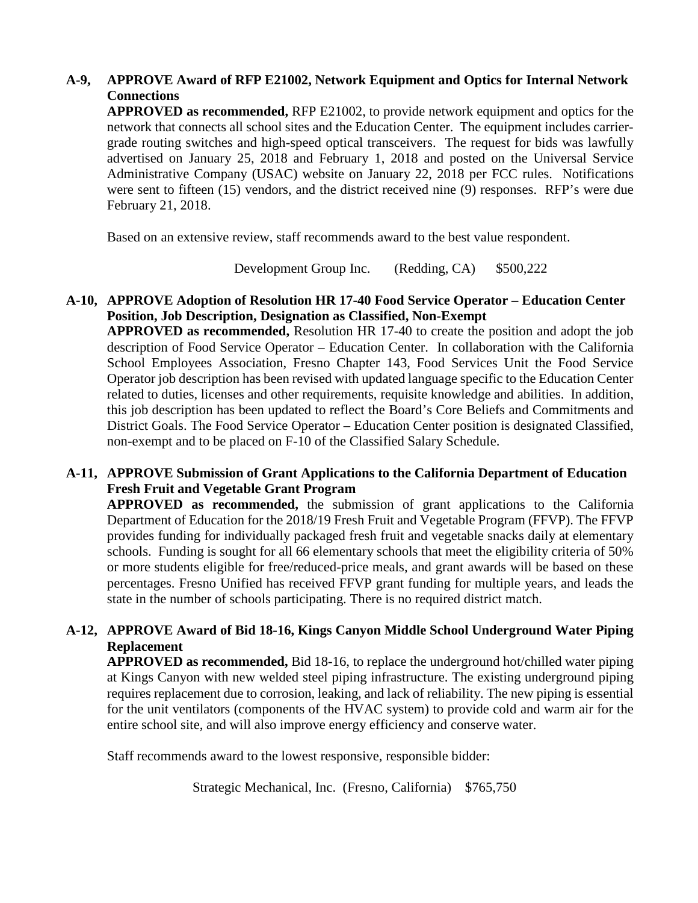# **A-9, APPROVE Award of RFP E21002, Network Equipment and Optics for Internal Network Connections**

**APPROVED as recommended,** RFP E21002, to provide network equipment and optics for the network that connects all school sites and the Education Center. The equipment includes carriergrade routing switches and high-speed optical transceivers. The request for bids was lawfully advertised on January 25, 2018 and February 1, 2018 and posted on the Universal Service Administrative Company (USAC) website on January 22, 2018 per FCC rules. Notifications were sent to fifteen (15) vendors, and the district received nine (9) responses. RFP's were due February 21, 2018.

Based on an extensive review, staff recommends award to the best value respondent.

Development Group Inc. (Redding, CA) \$500,222

#### **A-10, APPROVE Adoption of Resolution HR 17-40 Food Service Operator – Education Center Position, Job Description, Designation as Classified, Non-Exempt**

**APPROVED as recommended,** Resolution HR 17-40 to create the position and adopt the job description of Food Service Operator – Education Center. In collaboration with the California School Employees Association, Fresno Chapter 143, Food Services Unit the Food Service Operator job description has been revised with updated language specific to the Education Center related to duties, licenses and other requirements, requisite knowledge and abilities. In addition, this job description has been updated to reflect the Board's Core Beliefs and Commitments and District Goals. The Food Service Operator – Education Center position is designated Classified, non-exempt and to be placed on F-10 of the Classified Salary Schedule.

# **A-11, APPROVE Submission of Grant Applications to the California Department of Education Fresh Fruit and Vegetable Grant Program**

**APPROVED as recommended,** the submission of grant applications to the California Department of Education for the 2018/19 Fresh Fruit and Vegetable Program (FFVP). The FFVP provides funding for individually packaged fresh fruit and vegetable snacks daily at elementary schools. Funding is sought for all 66 elementary schools that meet the eligibility criteria of 50% or more students eligible for free/reduced-price meals, and grant awards will be based on these percentages. Fresno Unified has received FFVP grant funding for multiple years, and leads the state in the number of schools participating. There is no required district match.

# **A-12, APPROVE Award of Bid 18-16, Kings Canyon Middle School Underground Water Piping Replacement**

**APPROVED as recommended,** Bid 18-16, to replace the underground hot/chilled water piping at Kings Canyon with new welded steel piping infrastructure. The existing underground piping requires replacement due to corrosion, leaking, and lack of reliability. The new piping is essential for the unit ventilators (components of the HVAC system) to provide cold and warm air for the entire school site, and will also improve energy efficiency and conserve water.

Staff recommends award to the lowest responsive, responsible bidder:

Strategic Mechanical, Inc. (Fresno, California) \$765,750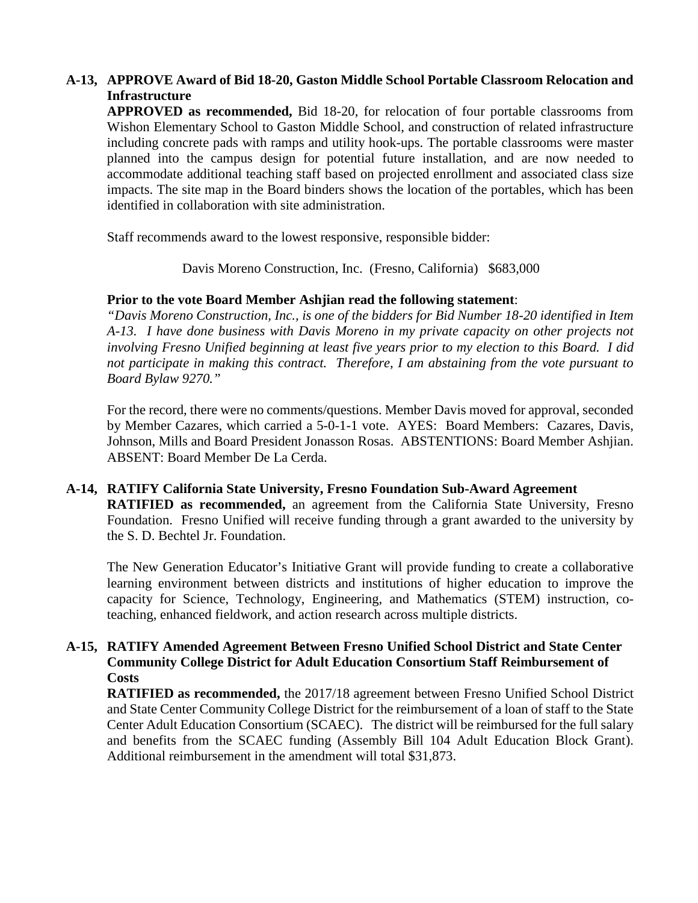# **A-13, APPROVE Award of Bid 18-20, Gaston Middle School Portable Classroom Relocation and Infrastructure**

**APPROVED as recommended,** Bid 18-20, for relocation of four portable classrooms from Wishon Elementary School to Gaston Middle School, and construction of related infrastructure including concrete pads with ramps and utility hook-ups. The portable classrooms were master planned into the campus design for potential future installation, and are now needed to accommodate additional teaching staff based on projected enrollment and associated class size impacts. The site map in the Board binders shows the location of the portables, which has been identified in collaboration with site administration.

Staff recommends award to the lowest responsive, responsible bidder:

Davis Moreno Construction, Inc. (Fresno, California) \$683,000

#### **Prior to the vote Board Member Ashjian read the following statement**:

*"Davis Moreno Construction, Inc., is one of the bidders for Bid Number 18-20 identified in Item A-13. I have done business with Davis Moreno in my private capacity on other projects not involving Fresno Unified beginning at least five years prior to my election to this Board. I did not participate in making this contract. Therefore, I am abstaining from the vote pursuant to Board Bylaw 9270."*

For the record, there were no comments/questions. Member Davis moved for approval, seconded by Member Cazares, which carried a 5-0-1-1 vote. AYES: Board Members: Cazares, Davis, Johnson, Mills and Board President Jonasson Rosas. ABSTENTIONS: Board Member Ashjian. ABSENT: Board Member De La Cerda.

# **A-14, RATIFY California State University, Fresno Foundation Sub-Award Agreement RATIFIED as recommended,** an agreement from the California State University, Fresno Foundation. Fresno Unified will receive funding through a grant awarded to the university by the S. D. Bechtel Jr. Foundation.

The New Generation Educator's Initiative Grant will provide funding to create a collaborative learning environment between districts and institutions of higher education to improve the capacity for Science, Technology, Engineering, and Mathematics (STEM) instruction, coteaching, enhanced fieldwork, and action research across multiple districts.

### **A-15, RATIFY Amended Agreement Between Fresno Unified School District and State Center Community College District for Adult Education Consortium Staff Reimbursement of Costs**

**RATIFIED as recommended,** the 2017/18 agreement between Fresno Unified School District and State Center Community College District for the reimbursement of a loan of staff to the State Center Adult Education Consortium (SCAEC). The district will be reimbursed for the full salary and benefits from the SCAEC funding (Assembly Bill 104 Adult Education Block Grant). Additional reimbursement in the amendment will total \$31,873.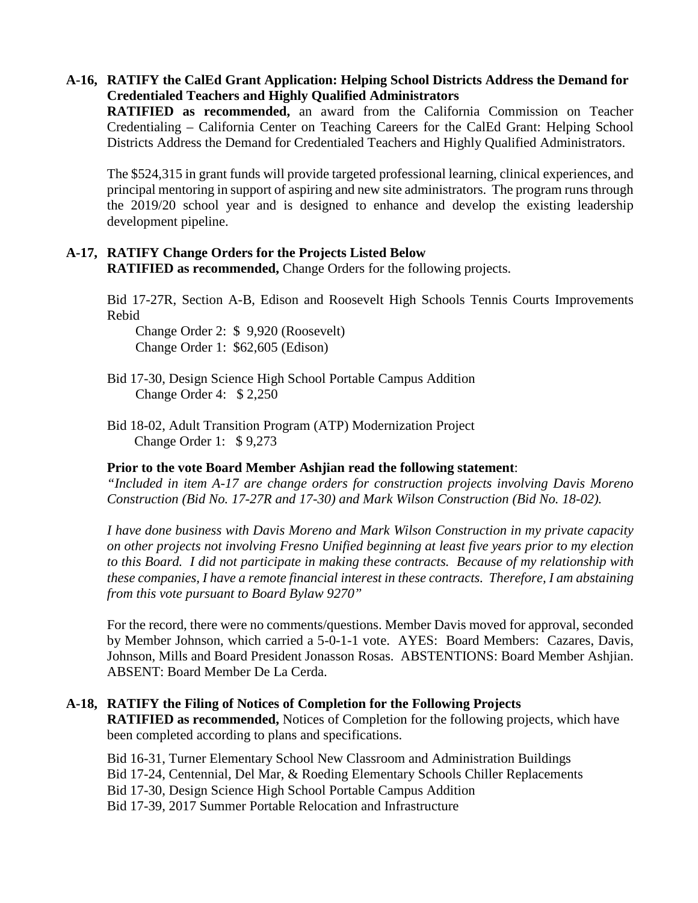#### **A-16, RATIFY the CalEd Grant Application: Helping School Districts Address the Demand for Credentialed Teachers and Highly Qualified Administrators**

**RATIFIED as recommended,** an award from the California Commission on Teacher Credentialing – California Center on Teaching Careers for the CalEd Grant: Helping School Districts Address the Demand for Credentialed Teachers and Highly Qualified Administrators.

The \$524,315 in grant funds will provide targeted professional learning, clinical experiences, and principal mentoring in support of aspiring and new site administrators. The program runs through the 2019/20 school year and is designed to enhance and develop the existing leadership development pipeline.

#### **A-17, RATIFY Change Orders for the Projects Listed Below RATIFIED as recommended,** Change Orders for the following projects.

Bid 17-27R, Section A-B, Edison and Roosevelt High Schools Tennis Courts Improvements Rebid

Change Order 2: \$ 9,920 (Roosevelt) Change Order 1: \$62,605 (Edison)

Bid 17-30, Design Science High School Portable Campus Addition Change Order 4: \$ 2,250

Bid 18-02, Adult Transition Program (ATP) Modernization Project Change Order 1: \$ 9,273

#### **Prior to the vote Board Member Ashjian read the following statement**:

*"Included in item A-17 are change orders for construction projects involving Davis Moreno Construction (Bid No. 17-27R and 17-30) and Mark Wilson Construction (Bid No. 18-02).*

*I have done business with Davis Moreno and Mark Wilson Construction in my private capacity on other projects not involving Fresno Unified beginning at least five years prior to my election to this Board. I did not participate in making these contracts. Because of my relationship with these companies, I have a remote financial interest in these contracts. Therefore, I am abstaining from this vote pursuant to Board Bylaw 9270"*

For the record, there were no comments/questions. Member Davis moved for approval, seconded by Member Johnson, which carried a 5-0-1-1 vote. AYES: Board Members: Cazares, Davis, Johnson, Mills and Board President Jonasson Rosas. ABSTENTIONS: Board Member Ashjian. ABSENT: Board Member De La Cerda.

# **A-18, RATIFY the Filing of Notices of Completion for the Following Projects**

**RATIFIED as recommended,** Notices of Completion for the following projects, which have been completed according to plans and specifications.

Bid 16-31, Turner Elementary School New Classroom and Administration Buildings Bid 17-24, Centennial, Del Mar, & Roeding Elementary Schools Chiller Replacements Bid 17-30, Design Science High School Portable Campus Addition Bid 17-39, 2017 Summer Portable Relocation and Infrastructure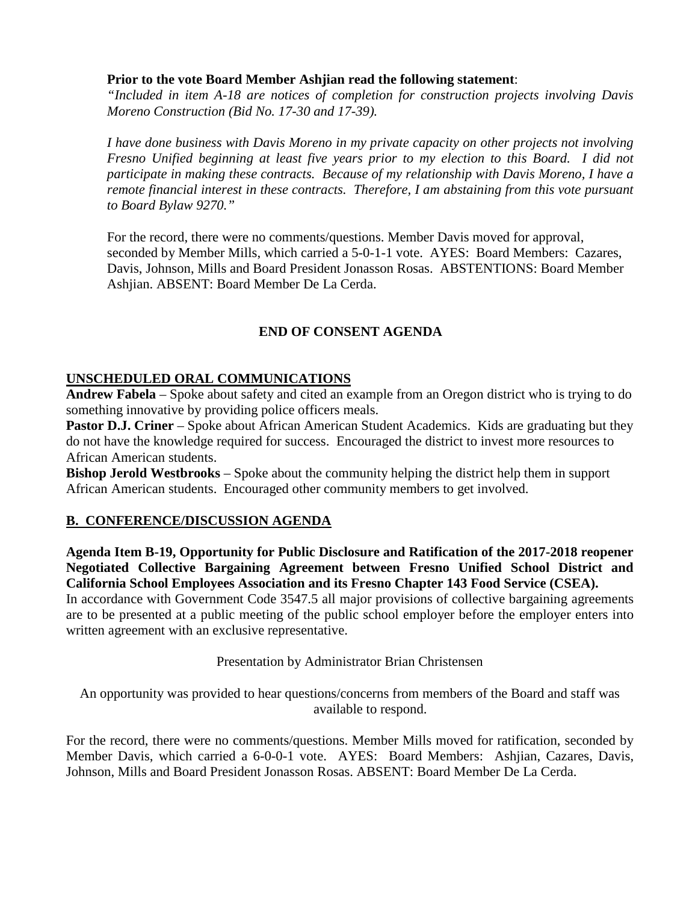### **Prior to the vote Board Member Ashjian read the following statement**:

*"Included in item A-18 are notices of completion for construction projects involving Davis Moreno Construction (Bid No. 17-30 and 17-39).*

*I have done business with Davis Moreno in my private capacity on other projects not involving Fresno Unified beginning at least five years prior to my election to this Board. I did not participate in making these contracts. Because of my relationship with Davis Moreno, I have a remote financial interest in these contracts. Therefore, I am abstaining from this vote pursuant to Board Bylaw 9270."*

For the record, there were no comments/questions. Member Davis moved for approval, seconded by Member Mills, which carried a 5-0-1-1 vote. AYES: Board Members: Cazares, Davis, Johnson, Mills and Board President Jonasson Rosas. ABSTENTIONS: Board Member Ashjian. ABSENT: Board Member De La Cerda.

# **END OF CONSENT AGENDA**

# **UNSCHEDULED ORAL COMMUNICATIONS**

**Andrew Fabela** – Spoke about safety and cited an example from an Oregon district who is trying to do something innovative by providing police officers meals.

**Pastor D.J. Criner** – Spoke about African American Student Academics. Kids are graduating but they do not have the knowledge required for success. Encouraged the district to invest more resources to African American students.

**Bishop Jerold Westbrooks** – Spoke about the community helping the district help them in support African American students. Encouraged other community members to get involved.

# **B. CONFERENCE/DISCUSSION AGENDA**

**Agenda Item B-19, Opportunity for Public Disclosure and Ratification of the 2017-2018 reopener Negotiated Collective Bargaining Agreement between Fresno Unified School District and California School Employees Association and its Fresno Chapter 143 Food Service (CSEA).**

In accordance with Government Code 3547.5 all major provisions of collective bargaining agreements are to be presented at a public meeting of the public school employer before the employer enters into written agreement with an exclusive representative.

Presentation by Administrator Brian Christensen

An opportunity was provided to hear questions/concerns from members of the Board and staff was available to respond.

For the record, there were no comments/questions. Member Mills moved for ratification, seconded by Member Davis, which carried a 6-0-0-1 vote. AYES: Board Members: Ashjian, Cazares, Davis, Johnson, Mills and Board President Jonasson Rosas. ABSENT: Board Member De La Cerda.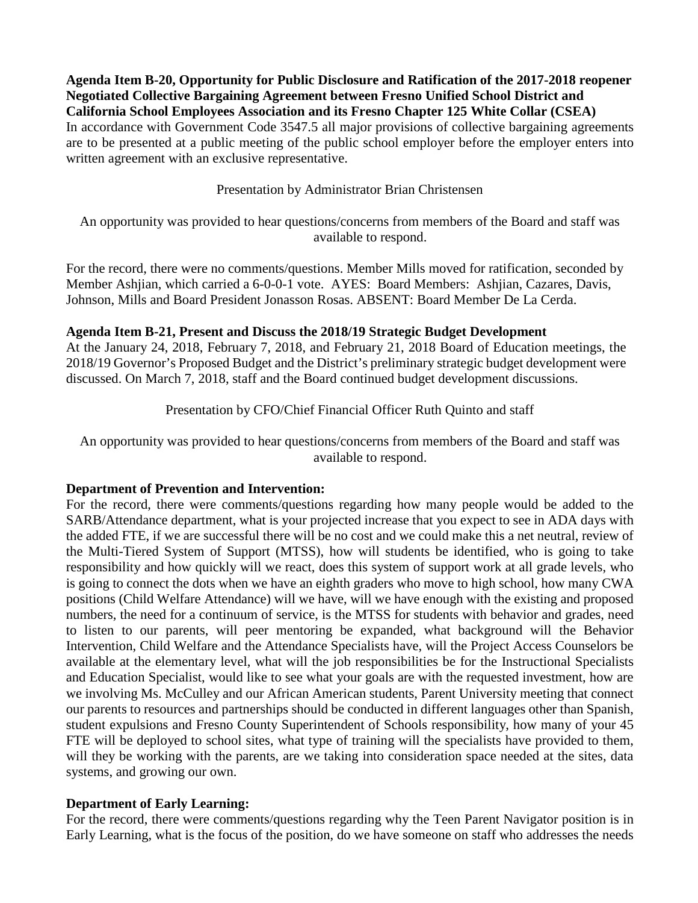**Agenda Item B-20, Opportunity for Public Disclosure and Ratification of the 2017-2018 reopener Negotiated Collective Bargaining Agreement between Fresno Unified School District and California School Employees Association and its Fresno Chapter 125 White Collar (CSEA)** In accordance with Government Code 3547.5 all major provisions of collective bargaining agreements are to be presented at a public meeting of the public school employer before the employer enters into written agreement with an exclusive representative.

Presentation by Administrator Brian Christensen

An opportunity was provided to hear questions/concerns from members of the Board and staff was available to respond.

For the record, there were no comments/questions. Member Mills moved for ratification, seconded by Member Ashjian, which carried a 6-0-0-1 vote. AYES: Board Members: Ashjian, Cazares, Davis, Johnson, Mills and Board President Jonasson Rosas. ABSENT: Board Member De La Cerda.

#### **Agenda Item B-21, Present and Discuss the 2018/19 Strategic Budget Development**

At the January 24, 2018, February 7, 2018, and February 21, 2018 Board of Education meetings, the 2018/19 Governor's Proposed Budget and the District's preliminary strategic budget development were discussed. On March 7, 2018, staff and the Board continued budget development discussions.

Presentation by CFO/Chief Financial Officer Ruth Quinto and staff

An opportunity was provided to hear questions/concerns from members of the Board and staff was available to respond.

#### **Department of Prevention and Intervention:**

For the record, there were comments/questions regarding how many people would be added to the SARB/Attendance department, what is your projected increase that you expect to see in ADA days with the added FTE, if we are successful there will be no cost and we could make this a net neutral, review of the Multi-Tiered System of Support (MTSS), how will students be identified, who is going to take responsibility and how quickly will we react, does this system of support work at all grade levels, who is going to connect the dots when we have an eighth graders who move to high school, how many CWA positions (Child Welfare Attendance) will we have, will we have enough with the existing and proposed numbers, the need for a continuum of service, is the MTSS for students with behavior and grades, need to listen to our parents, will peer mentoring be expanded, what background will the Behavior Intervention, Child Welfare and the Attendance Specialists have, will the Project Access Counselors be available at the elementary level, what will the job responsibilities be for the Instructional Specialists and Education Specialist, would like to see what your goals are with the requested investment, how are we involving Ms. McCulley and our African American students, Parent University meeting that connect our parents to resources and partnerships should be conducted in different languages other than Spanish, student expulsions and Fresno County Superintendent of Schools responsibility, how many of your 45 FTE will be deployed to school sites, what type of training will the specialists have provided to them, will they be working with the parents, are we taking into consideration space needed at the sites, data systems, and growing our own.

#### **Department of Early Learning:**

For the record, there were comments/questions regarding why the Teen Parent Navigator position is in Early Learning, what is the focus of the position, do we have someone on staff who addresses the needs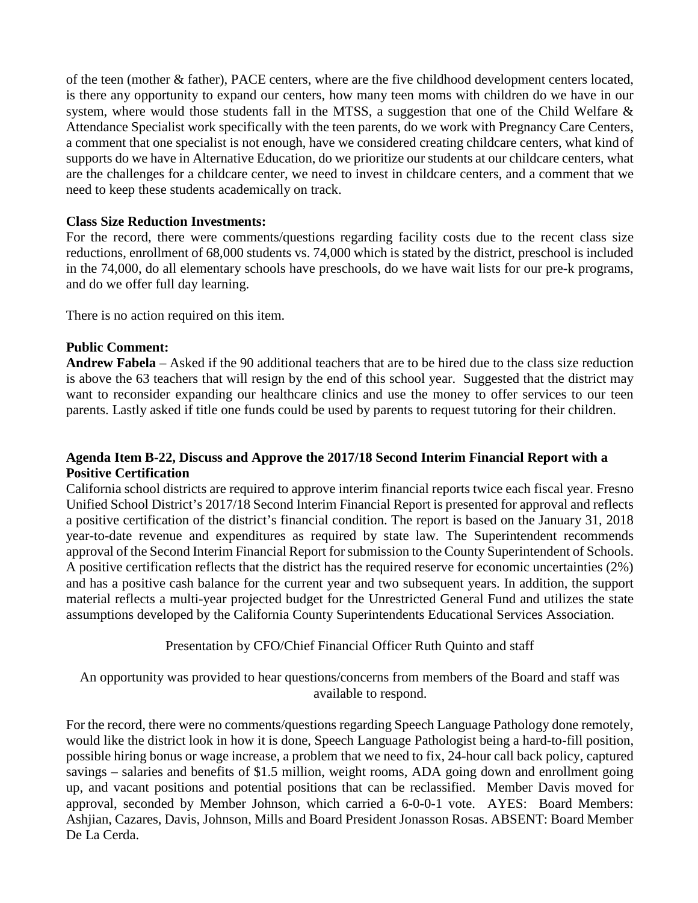of the teen (mother & father), PACE centers, where are the five childhood development centers located, is there any opportunity to expand our centers, how many teen moms with children do we have in our system, where would those students fall in the MTSS, a suggestion that one of the Child Welfare & Attendance Specialist work specifically with the teen parents, do we work with Pregnancy Care Centers, a comment that one specialist is not enough, have we considered creating childcare centers, what kind of supports do we have in Alternative Education, do we prioritize our students at our childcare centers, what are the challenges for a childcare center, we need to invest in childcare centers, and a comment that we need to keep these students academically on track.

#### **Class Size Reduction Investments:**

For the record, there were comments/questions regarding facility costs due to the recent class size reductions, enrollment of 68,000 students vs. 74,000 which is stated by the district, preschool is included in the 74,000, do all elementary schools have preschools, do we have wait lists for our pre-k programs, and do we offer full day learning.

There is no action required on this item.

### **Public Comment:**

**Andrew Fabela** – Asked if the 90 additional teachers that are to be hired due to the class size reduction is above the 63 teachers that will resign by the end of this school year. Suggested that the district may want to reconsider expanding our healthcare clinics and use the money to offer services to our teen parents. Lastly asked if title one funds could be used by parents to request tutoring for their children.

### **Agenda Item B-22, Discuss and Approve the 2017/18 Second Interim Financial Report with a Positive Certification**

California school districts are required to approve interim financial reports twice each fiscal year. Fresno Unified School District's 2017/18 Second Interim Financial Report is presented for approval and reflects a positive certification of the district's financial condition. The report is based on the January 31, 2018 year-to-date revenue and expenditures as required by state law. The Superintendent recommends approval of the Second Interim Financial Report for submission to the County Superintendent of Schools. A positive certification reflects that the district has the required reserve for economic uncertainties (2%) and has a positive cash balance for the current year and two subsequent years. In addition, the support material reflects a multi-year projected budget for the Unrestricted General Fund and utilizes the state assumptions developed by the California County Superintendents Educational Services Association.

Presentation by CFO/Chief Financial Officer Ruth Quinto and staff

An opportunity was provided to hear questions/concerns from members of the Board and staff was available to respond.

For the record, there were no comments/questions regarding Speech Language Pathology done remotely, would like the district look in how it is done, Speech Language Pathologist being a hard-to-fill position, possible hiring bonus or wage increase, a problem that we need to fix, 24-hour call back policy, captured savings – salaries and benefits of \$1.5 million, weight rooms, ADA going down and enrollment going up, and vacant positions and potential positions that can be reclassified. Member Davis moved for approval, seconded by Member Johnson, which carried a 6-0-0-1 vote. AYES: Board Members: Ashjian, Cazares, Davis, Johnson, Mills and Board President Jonasson Rosas. ABSENT: Board Member De La Cerda.